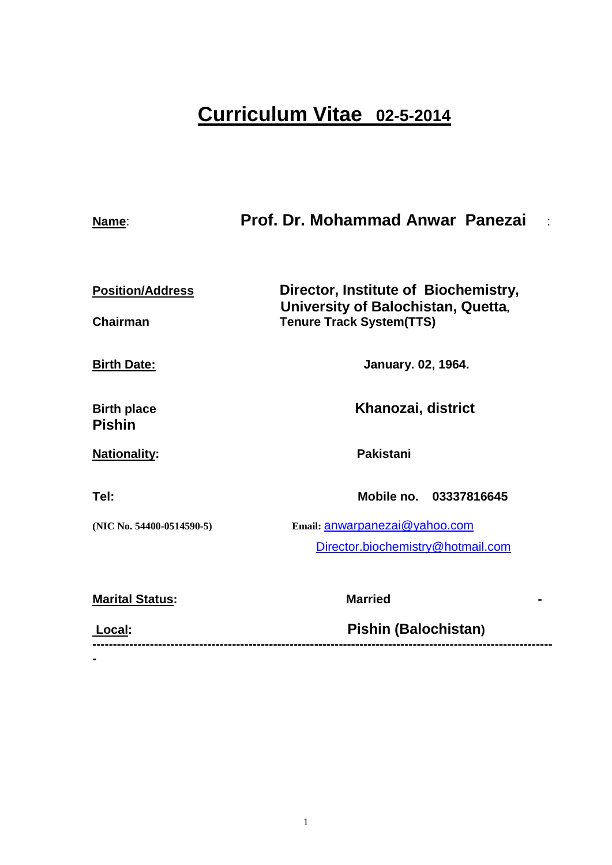# **Curriculum Vitae 02-5-2014**

| Name:                               | Prof. Dr. Mohammad Anwar Panezai                                      |  |
|-------------------------------------|-----------------------------------------------------------------------|--|
| <b>Position/Address</b>             | Director, Institute of Biochemistry,                                  |  |
| <b>Chairman</b>                     | University of Balochistan, Quetta,<br><b>Tenure Track System(TTS)</b> |  |
| <b>Birth Date:</b>                  | <b>January. 02, 1964.</b>                                             |  |
| <b>Birth place</b><br><b>Pishin</b> | Khanozai, district                                                    |  |
| <b>Nationality:</b>                 | <b>Pakistani</b>                                                      |  |
| Tel:                                | Mobile no. 03337816645                                                |  |
| (NIC No. 54400-0514590-5)           | Email: anwarpanezai@yahoo.com                                         |  |
|                                     | Director.biochemistry@hotmail.com                                     |  |
| <b>Marital Status:</b>              | <b>Married</b>                                                        |  |
| Local:                              | Pishin (Balochistan)                                                  |  |

**-**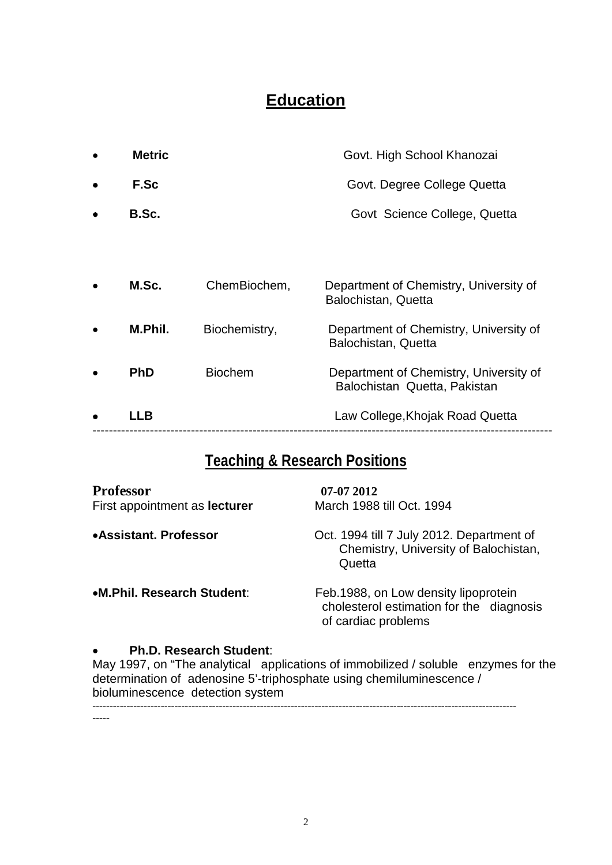# **Education**

|           | LLB           |                | Law College, Khojak Road Quetta                                        |
|-----------|---------------|----------------|------------------------------------------------------------------------|
|           | <b>PhD</b>    | <b>Biochem</b> | Department of Chemistry, University of<br>Balochistan Quetta, Pakistan |
|           | M.Phil.       | Biochemistry,  | Department of Chemistry, University of<br>Balochistan, Quetta          |
|           | M.Sc.         | ChemBiochem,   | Department of Chemistry, University of<br>Balochistan, Quetta          |
|           |               |                |                                                                        |
| ٠         | B.Sc.         |                | Govt Science College, Quetta                                           |
| $\bullet$ | F.Sc          |                | Govt. Degree College Quetta                                            |
|           | <b>Metric</b> |                | Govt. High School Khanozai                                             |

# **Teaching & Research Positions**

| <b>Professor</b><br>First appointment as <b>lecturer</b> | 07-07 2012<br>March 1988 till Oct. 1994                                                                  |
|----------------------------------------------------------|----------------------------------------------------------------------------------------------------------|
| •Assistant, Professor                                    | Oct. 1994 till 7 July 2012. Department of<br>Chemistry, University of Balochistan,<br>Quetta             |
| •M.Phil. Research Student:                               | Feb. 1988, on Low density lipoprotein<br>cholesterol estimation for the diagnosis<br>of cardiac problems |

#### • **Ph.D. Research Student**:

May 1997, on "The analytical applications of immobilized / soluble enzymes for the determination of adenosine 5'-triphosphate using chemiluminescence / bioluminescence detection system

----------------------------------------------------------------------------------------------------------------------------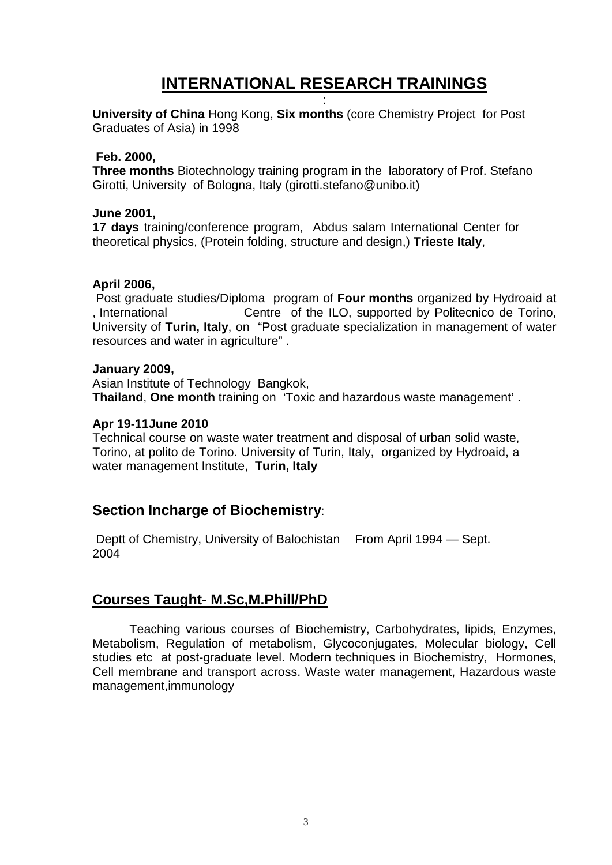# **INTERNATIONAL RESEARCH TRAININGS** :

**University of China** Hong Kong, **Six months** (core Chemistry Project for Post Graduates of Asia) in 1998

#### **Feb. 2000,**

**Three months** Biotechnology training program in the laboratory of Prof. Stefano Girotti, University of Bologna, Italy (girotti.stefano@unibo.it)

#### **June 2001,**

**17 days** training/conference program, Abdus salam International Center for theoretical physics, (Protein folding, structure and design,) **Trieste Italy**,

#### **April 2006,**

Post graduate studies/Diploma program of **Four months** organized by Hydroaid at , International Centre of the ILO, supported by Politecnico de Torino, University of **Turin, Italy**, on "Post graduate specialization in management of water resources and water in agriculture" .

#### **January 2009,**

Asian Institute of Technology Bangkok, **Thailand**, **One month** training on 'Toxic and hazardous waste management' .

#### **Apr 19-11June 2010**

Technical course on waste water treatment and disposal of urban solid waste, Torino, at polito de Torino. University of Turin, Italy, organized by Hydroaid, a water management Institute, **Turin, Italy**

### **Section Incharge of Biochemistry**:

Deptt of Chemistry, University of Balochistan From April 1994 – Sept. 2004

## **Courses Taught- M.Sc,M.Phill/PhD**

Teaching various courses of Biochemistry, Carbohydrates, lipids, Enzymes, Metabolism, Regulation of metabolism, Glycoconjugates, Molecular biology, Cell studies etc at post-graduate level. Modern techniques in Biochemistry, Hormones, Cell membrane and transport across. Waste water management, Hazardous waste management,immunology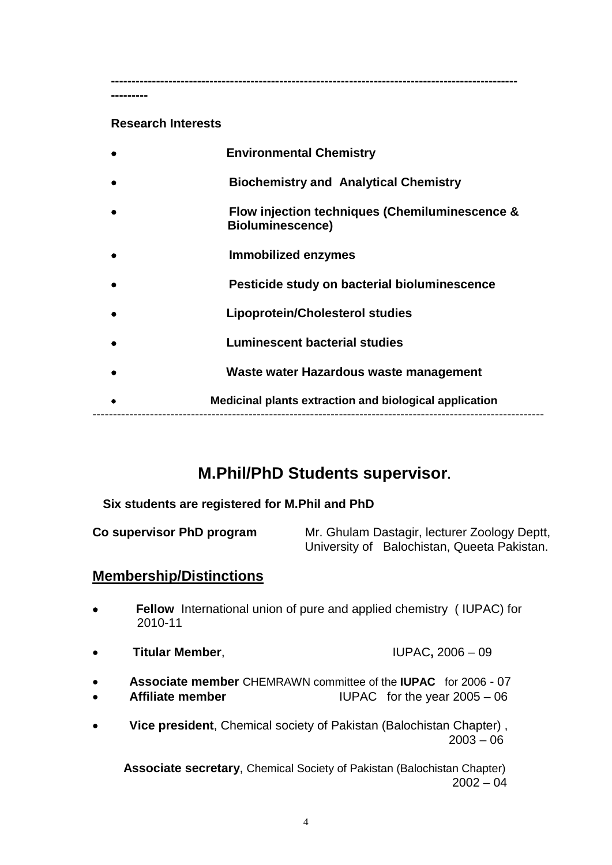**---------------------------------------------------------------------------------------------------**

#### **Research Interests**

**---------**

| <b>Environmental Chemistry</b>                                            |
|---------------------------------------------------------------------------|
| <b>Biochemistry and Analytical Chemistry</b>                              |
| Flow injection techniques (Chemiluminescence &<br><b>Bioluminescence)</b> |
| Immobilized enzymes                                                       |
| Pesticide study on bacterial bioluminescence                              |
| <b>Lipoprotein/Cholesterol studies</b>                                    |
| <b>Luminescent bacterial studies</b>                                      |
| Waste water Hazardous waste management                                    |
| Medicinal plants extraction and biological application                    |
|                                                                           |

# **M.Phil/PhD Students supervisor.**

#### **Six students are registered for M.Phil and PhD**

**Co supervisor PhD program** Mr. Ghulam Dastagir, lecturer Zoology Deptt, University of Balochistan, Queeta Pakistan.

## **Membership/Distinctions**

- • **Fellow** International union of pure and applied chemistry ( IUPAC) for 2010-11
- **Titular Member**, IUPAC**,** 2006 09
- **Associate member** CHEMRAWN committee of the **IUPAC** for 2006 07
- **IUPAC** for the year  $2005 06$
- **Vice president**, Chemical society of Pakistan (Balochistan Chapter) , 2003 – 06

 **Associate secretary**, Chemical Society of Pakistan (Balochistan Chapter)  $2002 - 04$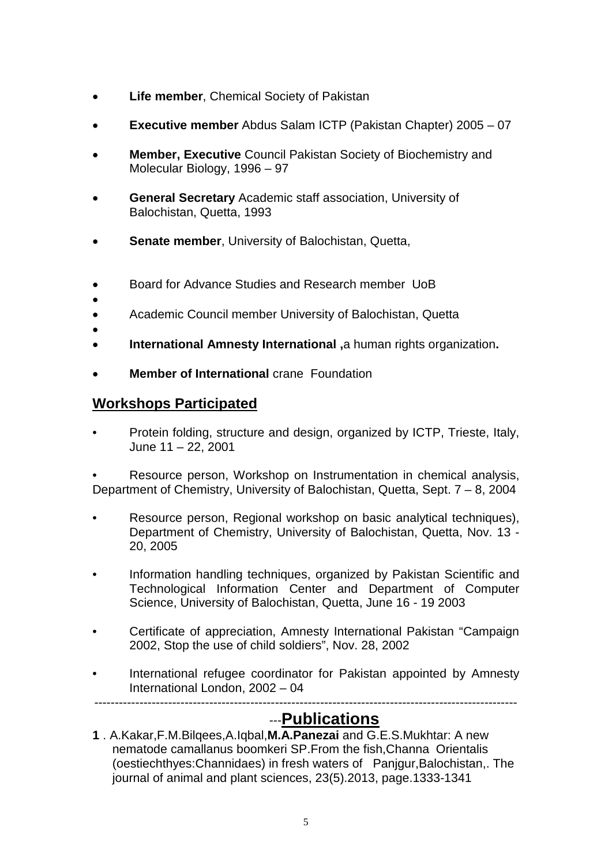- **Life member**, Chemical Society of Pakistan
- **Executive member** Abdus Salam ICTP (Pakistan Chapter) 2005 07
- **Member, Executive** Council Pakistan Society of Biochemistry and Molecular Biology, 1996 – 97
- **General Secretary** Academic staff association, University of Balochistan, Quetta, 1993
- **Senate member**, University of Balochistan, Quetta,
- Board for Advance Studies and Research member UoB
- • Academic Council member University of Balochistan, Quetta
- •
- **International Amnesty International ,**a human rights organization**.**
- **Member of International** crane Foundation

## **Workshops Participated**

• Protein folding, structure and design, organized by ICTP, Trieste, Italy, June 11 – 22, 2001

• Resource person, Workshop on Instrumentation in chemical analysis, Department of Chemistry, University of Balochistan, Quetta, Sept. 7 – 8, 2004

- Resource person, Regional workshop on basic analytical techniques), Department of Chemistry, University of Balochistan, Quetta, Nov. 13 - 20, 2005
- Information handling techniques, organized by Pakistan Scientific and Technological Information Center and Department of Computer Science, University of Balochistan, Quetta, June 16 - 19 2003
- Certificate of appreciation, Amnesty International Pakistan "Campaign 2002, Stop the use of child soldiers", Nov. 28, 2002
- International refugee coordinator for Pakistan appointed by Amnesty International London, 2002 – 04

-------------------------------------------------------------------------------------------------------

# ---**Publications**

**1** . A.Kakar,F.M.Bilqees,A.Iqbal,**M.A.Panezai** and G.E.S.Mukhtar: A new nematode camallanus boomkeri SP.From the fish,Channa Orientalis (oestiechthyes:Channidaes) in fresh waters of Panjgur,Balochistan,. The journal of animal and plant sciences, 23(5).2013, page.1333-1341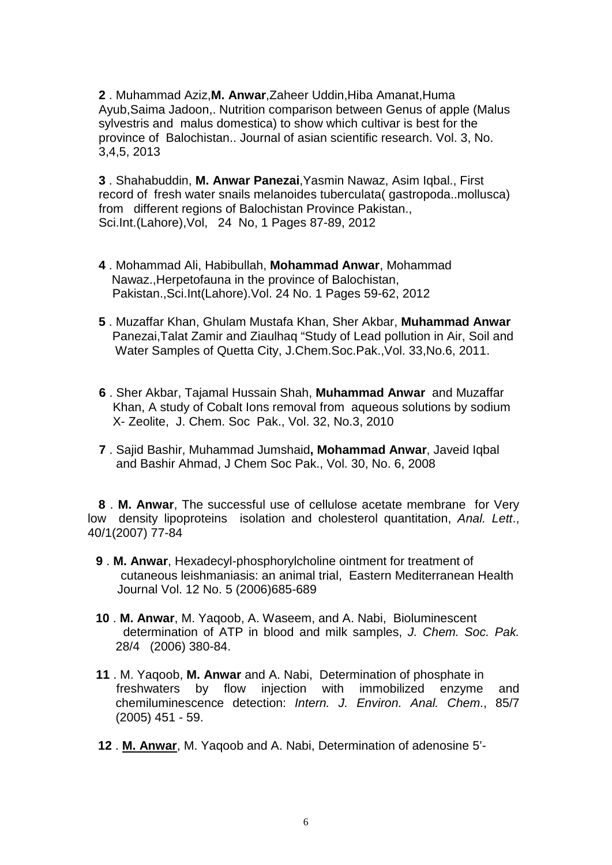**2** . Muhammad Aziz,**M. Anwar**,Zaheer Uddin,Hiba Amanat,Huma Ayub,Saima Jadoon,. Nutrition comparison between Genus of apple (Malus sylvestris and malus domestica) to show which cultivar is best for the province of Balochistan.. Journal of asian scientific research. Vol. 3, No. 3,4,5, 2013

**3** . Shahabuddin, **M. Anwar Panezai**,Yasmin Nawaz, Asim Iqbal., First record of fresh water snails melanoides tuberculata( gastropoda..mollusca) from different regions of Balochistan Province Pakistan., Sci.Int.(Lahore),Vol, 24 No, 1 Pages 87-89, 2012

- **4** . Mohammad Ali, Habibullah, **Mohammad Anwar**, Mohammad Nawaz.,Herpetofauna in the province of Balochistan, Pakistan.,Sci.Int(Lahore).Vol. 24 No. 1 Pages 59-62, 2012
- **5** . Muzaffar Khan, Ghulam Mustafa Khan, Sher Akbar, **Muhammad Anwar** Panezai,Talat Zamir and Ziaulhaq "Study of Lead pollution in Air, Soil and Water Samples of Quetta City, J.Chem.Soc.Pak.,Vol. 33,No.6, 2011.
- **6** . Sher Akbar, Tajamal Hussain Shah, **Muhammad Anwar** and Muzaffar Khan, A study of Cobalt Ions removal from aqueous solutions by sodium X- Zeolite, J. Chem. Soc Pak., Vol. 32, No.3, 2010
- **7** . Sajid Bashir, Muhammad Jumshaid**, Mohammad Anwar**, Javeid Iqbal and Bashir Ahmad, J Chem Soc Pak., Vol. 30, No. 6, 2008

 **8** . **M. Anwar**, The successful use of cellulose acetate membrane for Very low density lipoproteins isolation and cholesterol quantitation, *Anal. Lett*., 40/1(2007) 77-84

- **9** . **M. Anwar**, Hexadecyl-phosphorylcholine ointment for treatment of cutaneous leishmaniasis: an animal trial, Eastern Mediterranean Health Journal Vol. 12 No. 5 (2006)685-689
- **10** . **M. Anwar**, M. Yaqoob, A. Waseem, and A. Nabi, Bioluminescent determination of ATP in blood and milk samples, *J. Chem. Soc. Pak.* 28/4 (2006) 380-84.
- **11** . M. Yaqoob, **M. Anwar** and A. Nabi, Determination of phosphate in freshwaters by flow injection with immobilized enzyme and chemiluminescence detection: *Intern. J. Environ. Anal. Chem*., 85/7 (2005) 451 - 59.
- **12** . **M. Anwar**, M. Yaqoob and A. Nabi, Determination of adenosine 5'-